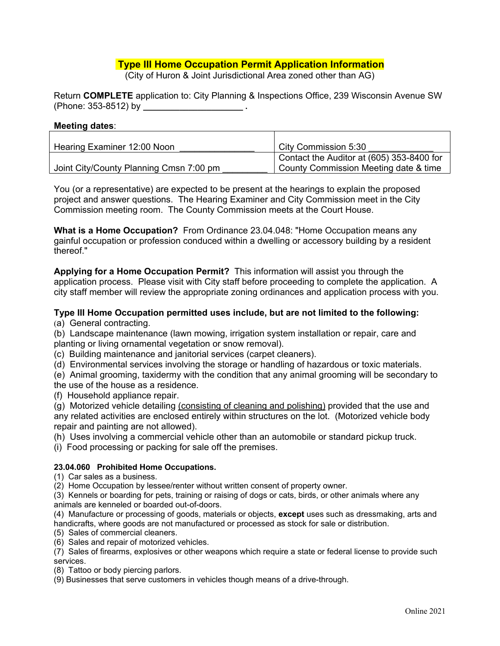## **Type III Home Occupation Permit Application Information**

(City of Huron & Joint Jurisdictional Area zoned other than AG)

Return **COMPLETE** application to: City Planning & Inspections Office, 239 Wisconsin Avenue SW (Phone: 353-8512) by **\_\_\_\_\_\_\_\_\_\_\_\_\_\_\_\_\_\_\_\_\_\_ .** 

#### **Meeting dates**:

| Hearing Examiner 12:00 Noon             | City Commission 5:30                      |
|-----------------------------------------|-------------------------------------------|
|                                         | Contact the Auditor at (605) 353-8400 for |
| Joint City/County Planning Cmsn 7:00 pm | County Commission Meeting date & time     |

You (or a representative) are expected to be present at the hearings to explain the proposed project and answer questions. The Hearing Examiner and City Commission meet in the City Commission meeting room. The County Commission meets at the Court House.

**What is a Home Occupation?** From Ordinance 23.04.048: "Home Occupation means any gainful occupation or profession conduced within a dwelling or accessory building by a resident thereof."

**Applying for a Home Occupation Permit?** This information will assist you through the application process. Please visit with City staff before proceeding to complete the application. A city staff member will review the appropriate zoning ordinances and application process with you.

#### **Type III Home Occupation permitted uses include, but are not limited to the following:**

(a) General contracting.

(b) Landscape maintenance (lawn mowing, irrigation system installation or repair, care and planting or living ornamental vegetation or snow removal).

(c) Building maintenance and janitorial services (carpet cleaners).

(d) Environmental services involving the storage or handling of hazardous or toxic materials.

(e) Animal grooming, taxidermy with the condition that any animal grooming will be secondary to the use of the house as a residence.

(f) Household appliance repair.

(g) Motorized vehicle detailing (consisting of cleaning and polishing) provided that the use and any related activities are enclosed entirely within structures on the lot. (Motorized vehicle body repair and painting are not allowed).

(h) Uses involving a commercial vehicle other than an automobile or standard pickup truck.

(i) Food processing or packing for sale off the premises.

#### **23.04.060 Prohibited Home Occupations.**

(1) Car sales as a business.

(2) Home Occupation by lessee/renter without written consent of property owner.

(3) Kennels or boarding for pets, training or raising of dogs or cats, birds, or other animals where any animals are kenneled or boarded out-of-doors.

(4) Manufacture or processing of goods, materials or objects, **except** uses such as dressmaking, arts and handicrafts, where goods are not manufactured or processed as stock for sale or distribution.

(5) Sales of commercial cleaners.

(6) Sales and repair of motorized vehicles.

(7) Sales of firearms, explosives or other weapons which require a state or federal license to provide such services.

(8) Tattoo or body piercing parlors.

(9) Businesses that serve customers in vehicles though means of a drive-through.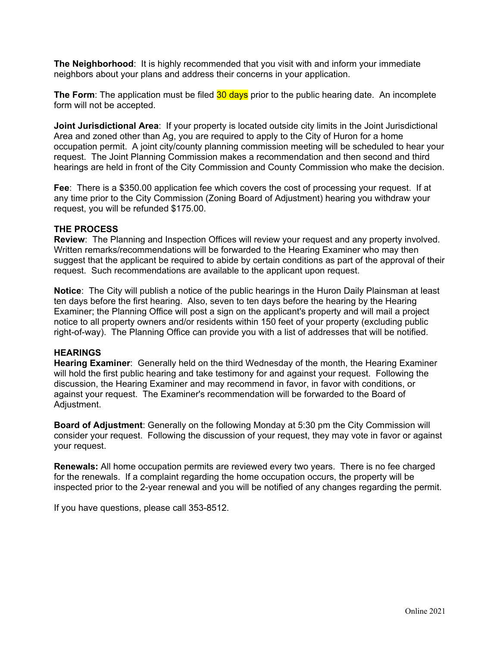**The Neighborhood**: It is highly recommended that you visit with and inform your immediate neighbors about your plans and address their concerns in your application.

**The Form**: The application must be filed **30 days** prior to the public hearing date. An incomplete form will not be accepted.

**Joint Jurisdictional Area**: If your property is located outside city limits in the Joint Jurisdictional Area and zoned other than Ag, you are required to apply to the City of Huron for a home occupation permit. A joint city/county planning commission meeting will be scheduled to hear your request. The Joint Planning Commission makes a recommendation and then second and third hearings are held in front of the City Commission and County Commission who make the decision.

**Fee**: There is a \$350.00 application fee which covers the cost of processing your request. If at any time prior to the City Commission (Zoning Board of Adjustment) hearing you withdraw your request, you will be refunded \$175.00.

#### **THE PROCESS**

**Review**: The Planning and Inspection Offices will review your request and any property involved. Written remarks/recommendations will be forwarded to the Hearing Examiner who may then suggest that the applicant be required to abide by certain conditions as part of the approval of their request. Such recommendations are available to the applicant upon request.

**Notice**: The City will publish a notice of the public hearings in the Huron Daily Plainsman at least ten days before the first hearing. Also, seven to ten days before the hearing by the Hearing Examiner; the Planning Office will post a sign on the applicant's property and will mail a project notice to all property owners and/or residents within 150 feet of your property (excluding public right-of-way). The Planning Office can provide you with a list of addresses that will be notified.

### **HEARINGS**

**Hearing Examiner**: Generally held on the third Wednesday of the month, the Hearing Examiner will hold the first public hearing and take testimony for and against your request. Following the discussion, the Hearing Examiner and may recommend in favor, in favor with conditions, or against your request. The Examiner's recommendation will be forwarded to the Board of Adjustment.

**Board of Adjustment**: Generally on the following Monday at 5:30 pm the City Commission will consider your request. Following the discussion of your request, they may vote in favor or against your request.

**Renewals:** All home occupation permits are reviewed every two years. There is no fee charged for the renewals. If a complaint regarding the home occupation occurs, the property will be inspected prior to the 2-year renewal and you will be notified of any changes regarding the permit.

If you have questions, please call 353-8512.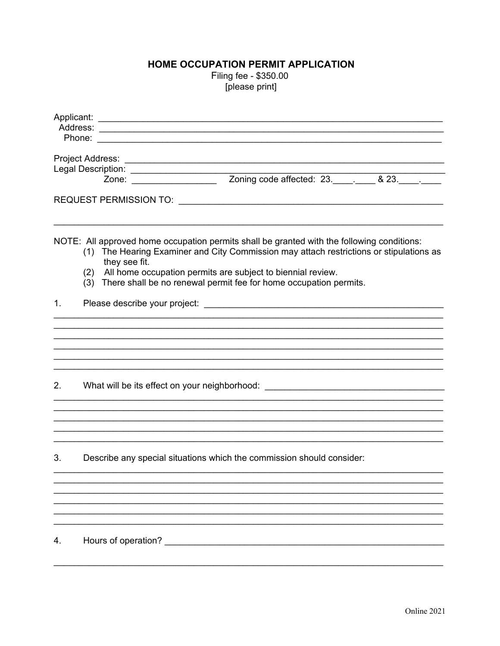# HOME OCCUPATION PERMIT APPLICATION

Filing fee - \$350.00 [please print]

| Applicant: |                                                                                                                                                                                                        |
|------------|--------------------------------------------------------------------------------------------------------------------------------------------------------------------------------------------------------|
|            |                                                                                                                                                                                                        |
|            |                                                                                                                                                                                                        |
|            |                                                                                                                                                                                                        |
|            |                                                                                                                                                                                                        |
|            | Zoning code affected: 23.__________ & 23._____.<br>Zone: __________________                                                                                                                            |
|            |                                                                                                                                                                                                        |
|            |                                                                                                                                                                                                        |
|            | NOTE: All approved home occupation permits shall be granted with the following conditions:<br>(1) The Hearing Examiner and City Commission may attach restrictions or stipulations as<br>they see fit. |
|            | All home occupation permits are subject to biennial review.<br>(2)<br>(3) There shall be no renewal permit fee for home occupation permits.                                                            |
| 1.         |                                                                                                                                                                                                        |
|            |                                                                                                                                                                                                        |
|            |                                                                                                                                                                                                        |
|            |                                                                                                                                                                                                        |
|            |                                                                                                                                                                                                        |
| 2.         | What will be its effect on your neighborhood: __________________________________                                                                                                                       |
|            |                                                                                                                                                                                                        |
|            |                                                                                                                                                                                                        |
|            |                                                                                                                                                                                                        |
| 3.         | Describe any special situations which the commission should consider:                                                                                                                                  |
|            |                                                                                                                                                                                                        |
|            |                                                                                                                                                                                                        |
|            |                                                                                                                                                                                                        |
|            |                                                                                                                                                                                                        |
| 4.         | Hours of operation?                                                                                                                                                                                    |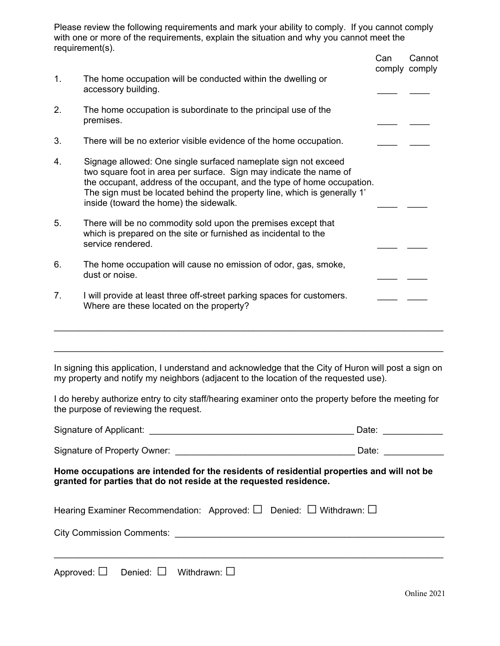Please review the following requirements and mark your ability to comply. If you cannot comply with one or more of the requirements, explain the situation and why you cannot meet the requirement(s).

|                |                                                                                                                                                                                                                                                                                                                                       | Can | Cannot<br>comply comply |
|----------------|---------------------------------------------------------------------------------------------------------------------------------------------------------------------------------------------------------------------------------------------------------------------------------------------------------------------------------------|-----|-------------------------|
| 1.             | The home occupation will be conducted within the dwelling or<br>accessory building.                                                                                                                                                                                                                                                   |     |                         |
| 2.             | The home occupation is subordinate to the principal use of the<br>premises.                                                                                                                                                                                                                                                           |     |                         |
| 3.             | There will be no exterior visible evidence of the home occupation.                                                                                                                                                                                                                                                                    |     |                         |
| 4.             | Signage allowed: One single surfaced nameplate sign not exceed<br>two square foot in area per surface. Sign may indicate the name of<br>the occupant, address of the occupant, and the type of home occupation.<br>The sign must be located behind the property line, which is generally 1'<br>inside (toward the home) the sidewalk. |     |                         |
| 5.             | There will be no commodity sold upon the premises except that<br>which is prepared on the site or furnished as incidental to the<br>service rendered.                                                                                                                                                                                 |     |                         |
| 6.             | The home occupation will cause no emission of odor, gas, smoke,<br>dust or noise.                                                                                                                                                                                                                                                     |     |                         |
| 7 <sub>1</sub> | I will provide at least three off-street parking spaces for customers.<br>Where are these located on the property?                                                                                                                                                                                                                    |     |                         |
|                |                                                                                                                                                                                                                                                                                                                                       |     |                         |

In signing this application, I understand and acknowledge that the City of Huron will post a sign on my property and notify my neighbors (adjacent to the location of the requested use).

I do hereby authorize entry to city staff/hearing examiner onto the property before the meeting for the purpose of reviewing the request.

| Signature of Applicant:                                                                   | Date: |
|-------------------------------------------------------------------------------------------|-------|
| Signature of Property Owner:                                                              | Date: |
| Home occupations are intended for the residents of residential properties and will not be |       |

**Home occupations are intended for the residents of residential properties and will not be granted for parties that do not reside at the requested residence.** 

| Hearing Examiner Recommendation: Approved: $\Box$ Denied: $\Box$ Withdrawn: $\Box$ |  |  |
|------------------------------------------------------------------------------------|--|--|
| <b>City Commission Comments:</b>                                                   |  |  |
|                                                                                    |  |  |

|  | Approved: $\square$ Denied: $\square$ Withdrawn: $\square$ |
|--|------------------------------------------------------------|